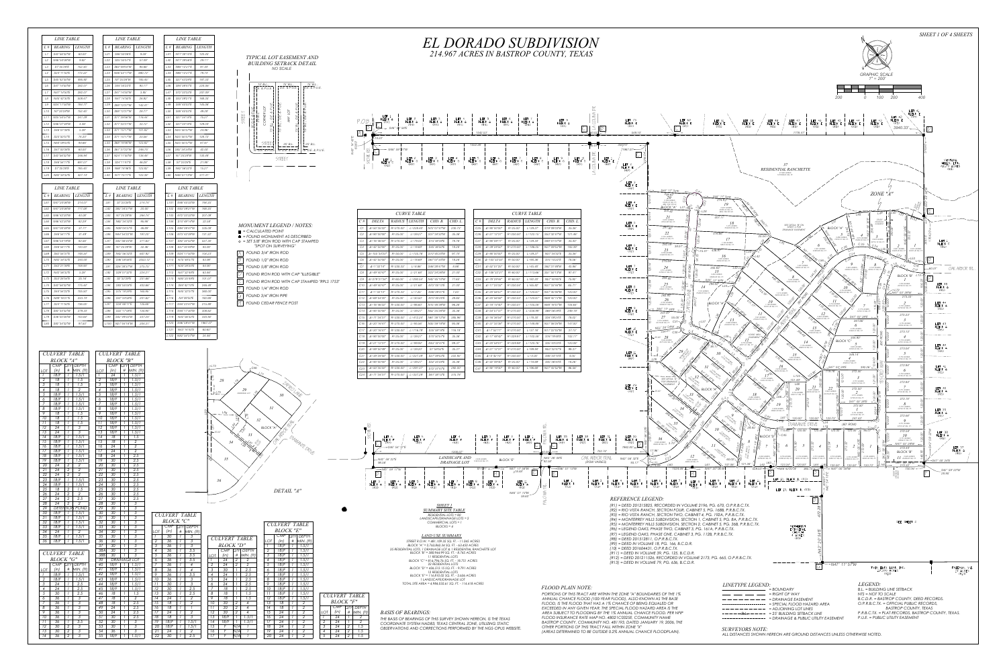|     | MONUMENT LEGEND / NOTES:                                            |
|-----|---------------------------------------------------------------------|
|     | $=$ CALCULATED POINT                                                |
|     | = FOUND MONUMENT AS DESCRIBED                                       |
|     | $\circ$ = SET 5/8" IRON ROD WITH CAP STAMPED<br>"SPOT ON SURVEYING" |
|     | FOUND 3/4" IRON ROD                                                 |
| 13  | FOUND 1/2" IRON ROD                                                 |
|     | <b>FOUND 5/8" IRON ROD</b>                                          |
|     | FOUND IRON ROD WITH CAP "ILLEGIBLE"                                 |
| IE. | FOUND IRON ROD WITH CAP STAMPED "RPLS 1753"                         |
|     | FOUND 1/4" IRON ROD                                                 |
|     | <b>FOUND 3/4" IRON PIPE</b>                                         |
|     | <b>FOUND CEDAR FENCE POST</b>                                       |
|     |                                                                     |

|     | $-L73$<br>C46<br>$\left\langle \right\rangle$<br>$\overline{L}$<br>$28\,$<br>16/<br><b>LAFIRD AVE</b><br>`§<br>∀ <i>L75</i> .<br>29<br>18<br>DRAINAGE LOT                                             |
|-----|-------------------------------------------------------------------------------------------------------------------------------------------------------------------------------------------------------|
| L89 | 30<br>ł<br>31<br>L86<br>$\overline{\widetilde{\varepsilon}}$<br>L85<br>32<br>O AMERICAN<br>ver.<br>$\sqrt{81}$<br>BLOCK "A"<br>$\sqrt{\frac{6}{6}}$<br>$-25.00'$<br>33<br>For page<br>$\overline{34}$ |
|     | <b>FIAMANTE DRIVE</b><br>$\left\langle \right\rangle$<br>Yol<br>$\mathcal{E}_{\infty}$<br>$35\,$<br>36                                                                                                |
|     | DETAIL "A"                                                                                                                                                                                            |

|                 | <b>LINE TABLE</b> |               |
|-----------------|-------------------|---------------|
| $L \#$          | <b>BEARING</b>    | <i>LENGTH</i> |
| L1              | S42°56'32"W       | 60.00'        |
| 12              | N46°50'06"W       | 9.82'         |
| 13              | S7°25'28"E        | 152.45'       |
| L4              | S24°11'50"E       | 172.22'       |
| L <sub>5</sub>  | S45°42'30″W       | 495.92'       |
| L6              | S47°14'50"W       | 282.01'       |
| 17              | N47°14'50"F       | 282.01'       |
| L8              | N45°42'30"E       | 508.47'       |
| 19              | N24°11'50″W       | 184.77'       |
| L10             | N7°25'28"W        | 152.45'       |
| 111             | N25°50'57"W       | 241.29'       |
| L12             | N46°07'38"W       | 4.46'         |
| 113             | S46°07'38"E       | 5.39'         |
| L14             | S25°50'57"E       | 74.20'        |
| L15             | N64°09'03"F       | 94.66'        |
| 116             | S47°00'38"F       | 60.00'        |
| 117             | S42°56'32″W       | 246.94'       |
| L18             | S46°54'17"E       | 691.01'       |
| L19             | S7°25'28"F        | 185.45'       |
| L <sub>20</sub> | N82°34'32"E       | 427.14'       |

|                  | <b>LINE TABLE</b> |               |                 |
|------------------|-------------------|---------------|-----------------|
| L #              | <i>BEARING</i>    | <i>LENGTH</i> | $L$ #           |
| L21              | S46°50'06"E       | 9.59'         | L41             |
| L <sub>22</sub>  | S25°50'57"E       | 57.09'        | L42             |
| L <sub>23</sub>  | S64°09'03"W       | 94.66'        | L43             |
| L24              | N46°54'17"W       | 690.72'       | L44             |
| L <sub>25</sub>  | N7°25'28"W        | 185.45'       | L <sub>45</sub> |
| L <sub>26</sub>  | S44°54'22"E       | 90.17'        | L <sub>46</sub> |
| L <sub>2</sub> 7 | S47°14'50"W       | 3.85'         | L47             |
| L28              | N47°14'50"E       | 26.92'        | L <sub>48</sub> |
| L <sub>29</sub>  | S88°12'27"W       | 142.41'       | L <sub>49</sub> |
| L30              | S88°12'27"W       | 28.77'        | L <sub>50</sub> |
| L31              | S77°39'56"W       | 116.44'       | L51             |
| L32              | S77°33'31"W       | 33.12'        | L <sub>52</sub> |
| L33              | S71°15'17"W       | 101.82'       | L <sub>53</sub> |
| L34              | S71°15'17"W       | 20.56'        | L <sub>54</sub> |
| L35              | S68°18'46"W       | 123.82'       | L55             |
| L36              | S67°37'22"W       | 246.75'       | L <sub>56</sub> |
| L37              | N24°11'50"W       | 138.48'       | L57             |
| L38              | S24°11'47"E       | 46.28'        | L <sub>58</sub> |
| L39              | N68°18'46"E       | 123.82'       | L59             |
| L40              | N71°15'17"E       | 122.38'       | L60             |

|                 | <b>LINE TABLE</b> |               |
|-----------------|-------------------|---------------|
|                 |                   |               |
| L #             | <b>BEARING</b>    | <i>LENGTH</i> |
| L61             | N47°20'06"W       | 214.01'       |
| L <sub>62</sub> | N47°20'06"W       | 117.08'       |
| L63             | N46°42'20"W       | 40.08'        |
| L64             | N46°42'20"W       | 82.29'        |
| L65             | N47°00'38"W       | 37.71'        |
| L66             | S46°54'17"E       | 31.49'        |
| L67             | N46°54'19"W       | 82.56'        |
| L68             | S46°54'17"E       | 120.00'       |
| L69             | S82°54'37"E       | 148.34'       |
| L70             | N82°34'32"E       | 240.00'       |
| L71             | S42°21'39"E       | 108.93'       |
| L72             | N42°56'32"E       | 5.28'         |
| L73             | S53°28'54"E       | 25.16'        |
| L74             | S42°56'32″W       | 175.44'       |
| L75             | S44°54'22"E       | 105.50'       |
| L76             | N89°16'21"E       | 233.74'       |
| <b>L77</b>      | S24°11'50"E       | 136.05'       |
| L78             | S82°34'32"W       | 279.33'       |
| L79             | S36°00'26"W       | 103.64'       |
| L80             | S82°34'32"W       | 97.50'        |

|      | <b>LINE TABLE</b> |                   |               |  |  |  |  |  |
|------|-------------------|-------------------|---------------|--|--|--|--|--|
| L #  |                   | <b>BEARING</b>    | <i>LENGTH</i> |  |  |  |  |  |
| L41  |                   | N77°38'10"E       | 120.45'       |  |  |  |  |  |
| L42  |                   | N77°39'56"E       | 29.11'        |  |  |  |  |  |
| L43  |                   | N88°12'27"E       | 91.44'        |  |  |  |  |  |
| l 44 |                   | N88°12'27"E       | 79.74'        |  |  |  |  |  |
| L45  |                   | S27°43'29"E       | 187.33'       |  |  |  |  |  |
| L46  |                   | S84°08'47"E       | 224.06'       |  |  |  |  |  |
| L47  |                   | S72°03'33"E       | 207.09'       |  |  |  |  |  |
| L48  |                   | S53°09'21"E       | 168.35'       |  |  |  |  |  |
| L49  |                   | S48°45′03″E       | 145.06'       |  |  |  |  |  |
| L50  |                   | S48°45'03"E       | 49.28'        |  |  |  |  |  |
| L51  |                   | S27°04'18"E       | 75.27'        |  |  |  |  |  |
| L52  |                   | S27°04'18"E       | 129.04'       |  |  |  |  |  |
| L53  |                   | N25°50'57″W       | 24.96'        |  |  |  |  |  |
| L54  |                   | N25°50'57"W       | 128.72'       |  |  |  |  |  |
| L55  |                   | N25°50′57″W       | 87.61'        |  |  |  |  |  |
| L56  |                   | S82°34′34″W       | 42.00'        |  |  |  |  |  |
| L57  |                   | N7°25′28″W        | 130.48'       |  |  |  |  |  |
| L58  |                   | S7°25'28"E        | 21.98'        |  |  |  |  |  |
| L59  |                   | N42°56'32"E       | 15.21'        |  |  |  |  |  |
| L60  |                   | N46°51'13″W       | 317.41'       |  |  |  |  |  |
|      |                   |                   |               |  |  |  |  |  |
|      |                   | <b>LINE TABLE</b> |               |  |  |  |  |  |
| 1 #  |                   | <i>REARING</i>    | I FNGTH       |  |  |  |  |  |

| <b>BEARING</b><br><i>LENGTH</i><br>$L \#$<br>S7°25'28"E<br>L81<br>214.74'<br>S82°34'31"W<br>L82<br>20.00'<br>L83<br>N7°25'28"W<br>264.74'<br>L84<br>N82°34'32"E<br>95.98'<br>L85<br>N39°04'57"E<br>46.89'<br>N44°54'22"W<br>L86<br>197.20'<br>S42°56'35"W<br>L87<br>311.63'<br>N7°25'28"W<br>L88<br>32.46'<br>L89<br>N42°56'32"E<br>607.92'<br>2553.12'<br>L90<br>S46°58'56"E<br>S26°38'37"W<br>275.75'<br>L91<br>L92<br>S29°01'32"E<br>224.21'<br>S2°32'29"E<br>251.66'<br>L93<br>S83°55'04"E<br>L94<br>403.66'<br>L95<br>S75°18'29"E<br>160.95'<br>L96<br>S47°34'58"E<br>201.62'<br>L97<br>S34°46'11"E<br>135.68'<br>L98<br>130.90'<br>S22°17'08"E<br>L99<br>S42°49'55"W<br>337.24'<br>N27°04'18"W<br>204.31' |                  | <b>LINE TABLE</b> |  |
|-----------------------------------------------------------------------------------------------------------------------------------------------------------------------------------------------------------------------------------------------------------------------------------------------------------------------------------------------------------------------------------------------------------------------------------------------------------------------------------------------------------------------------------------------------------------------------------------------------------------------------------------------------------------------------------------------------------------|------------------|-------------------|--|
|                                                                                                                                                                                                                                                                                                                                                                                                                                                                                                                                                                                                                                                                                                                 |                  |                   |  |
|                                                                                                                                                                                                                                                                                                                                                                                                                                                                                                                                                                                                                                                                                                                 |                  |                   |  |
|                                                                                                                                                                                                                                                                                                                                                                                                                                                                                                                                                                                                                                                                                                                 |                  |                   |  |
|                                                                                                                                                                                                                                                                                                                                                                                                                                                                                                                                                                                                                                                                                                                 |                  |                   |  |
|                                                                                                                                                                                                                                                                                                                                                                                                                                                                                                                                                                                                                                                                                                                 |                  |                   |  |
|                                                                                                                                                                                                                                                                                                                                                                                                                                                                                                                                                                                                                                                                                                                 |                  |                   |  |
|                                                                                                                                                                                                                                                                                                                                                                                                                                                                                                                                                                                                                                                                                                                 |                  |                   |  |
|                                                                                                                                                                                                                                                                                                                                                                                                                                                                                                                                                                                                                                                                                                                 |                  |                   |  |
|                                                                                                                                                                                                                                                                                                                                                                                                                                                                                                                                                                                                                                                                                                                 |                  |                   |  |
|                                                                                                                                                                                                                                                                                                                                                                                                                                                                                                                                                                                                                                                                                                                 |                  |                   |  |
|                                                                                                                                                                                                                                                                                                                                                                                                                                                                                                                                                                                                                                                                                                                 |                  |                   |  |
|                                                                                                                                                                                                                                                                                                                                                                                                                                                                                                                                                                                                                                                                                                                 |                  |                   |  |
|                                                                                                                                                                                                                                                                                                                                                                                                                                                                                                                                                                                                                                                                                                                 |                  |                   |  |
|                                                                                                                                                                                                                                                                                                                                                                                                                                                                                                                                                                                                                                                                                                                 |                  |                   |  |
|                                                                                                                                                                                                                                                                                                                                                                                                                                                                                                                                                                                                                                                                                                                 |                  |                   |  |
|                                                                                                                                                                                                                                                                                                                                                                                                                                                                                                                                                                                                                                                                                                                 |                  |                   |  |
|                                                                                                                                                                                                                                                                                                                                                                                                                                                                                                                                                                                                                                                                                                                 |                  |                   |  |
|                                                                                                                                                                                                                                                                                                                                                                                                                                                                                                                                                                                                                                                                                                                 |                  |                   |  |
|                                                                                                                                                                                                                                                                                                                                                                                                                                                                                                                                                                                                                                                                                                                 |                  |                   |  |
|                                                                                                                                                                                                                                                                                                                                                                                                                                                                                                                                                                                                                                                                                                                 |                  |                   |  |
|                                                                                                                                                                                                                                                                                                                                                                                                                                                                                                                                                                                                                                                                                                                 | L <sub>100</sub> |                   |  |



| $L \#$           | <b>BEARING</b> | <i>LENGTH</i> |
|------------------|----------------|---------------|
| L <sub>101</sub> | N48°45′03″W    | 194.35'       |
| L <sub>102</sub> | N53°09'21"W    | 168.35'       |
| L <sub>103</sub> | N72°03'33″W    | 207.09'       |
| L <sub>104</sub> | S10°49'14"W    | 22.58'        |
| L <sub>105</sub> | N84°08'47"W    | 335.08'       |
| L <sub>106</sub> | N73°42'09"W    | 131.32'       |
| 1107             | S82°34'32"W    | 537.30'       |
| L <sub>108</sub> | S57°05′49″W    | 85.93'        |
| L <sub>109</sub> | N24°11'50"W    | 104.23'       |
| 1110             | N75°48'57"F    | 83.98'        |
| L <sub>111</sub> | N30°28'20"F    | 84.90'        |
| 112              | N47°32'48"F    | 63.46'        |
| 1113             | N80°25'49"F    | 101.07'       |
| L <sub>114</sub> | S84°42'10"F    | 246.48'       |
| 1115             | N45°32'07"F    | 360.00'       |
| L <sub>116</sub> | N4°09'50"E     | 160.86'       |
| L <sub>117</sub> | N44°23'47″W    | 215.88'       |
| L118             | N44°17'30"W    | 308.62'       |
| 1119             | N42°56'32"F    | 343.92'       |
| L <sub>120</sub> | N46°59'41"W    | 1967.07'      |
| L <sub>121</sub> | N43°14'43"E    | 60.60'        |

*L122 N82°54'37"W 24.46'*

## *TYPICAL LOT EASEMENT AND BUILDING SETBACK DETAIL NO SCALE*



| CHLVERT TABLE                                                                               | CULVERT TABLE                    |
|---------------------------------------------------------------------------------------------|----------------------------------|
| $\mathbf{D}$ $\mathbf{r}$ $\alpha$ $\alpha$ $\mathbf{r}$ $\mathbf{r}$ $\mathbf{u}$ $\alpha$ | $NT$ $Q$ $Q$ $I$ $I$ $H$ $R$ $H$ |

|                                                                 | <b>BLOCK</b> "A"                   |                  |                                                                                                    |                                                                      | $\overline{I}$ |
|-----------------------------------------------------------------|------------------------------------|------------------|----------------------------------------------------------------------------------------------------|----------------------------------------------------------------------|----------------|
|                                                                 | $\overline{\text{CMP}}$            | QTY              | <b>DEPTH</b>                                                                                       |                                                                      |                |
| LOT                                                             | (in)                               | #                | MIN. (ft)                                                                                          | LOT                                                                  |                |
| $\boldsymbol{l}$                                                | 18/F                               | $\boldsymbol{l}$ | 1.5/1                                                                                              | $\boldsymbol{l}$                                                     |                |
| $\overline{2}$                                                  | 18                                 | 1                | 1.5                                                                                                |                                                                      |                |
|                                                                 | 18                                 | l                | $\overline{1.5}$                                                                                   | $rac{2}{3}$                                                          |                |
|                                                                 | $\overline{18}$                    | $\overline{1}$   |                                                                                                    | $\frac{4}{5}$                                                        |                |
| $\frac{3}{4}$                                                   | 18/F                               | l                | $\frac{2}{1.5/1}$                                                                                  |                                                                      |                |
|                                                                 | 18/F                               | $\overline{1}$   |                                                                                                    | $rac{6}{7}$                                                          |                |
| $\frac{6}{7}$                                                   |                                    | $\overline{1}$   |                                                                                                    |                                                                      |                |
|                                                                 | 18/F<br>18/F                       | Ī                | $\frac{1.5/1}{1.5/1}$<br>$\frac{1.5/1}{1.5/1}$                                                     | $\overline{8}$                                                       |                |
| $\overline{9}$                                                  | $\overline{18}$                    | l                |                                                                                                    | $\overline{9}$                                                       |                |
| $\overline{10}$                                                 | $\overline{18}$                    | Ī                |                                                                                                    | $\overline{10}$                                                      |                |
|                                                                 | $\overline{18}$                    | l                |                                                                                                    |                                                                      |                |
| $\frac{11}{12}$ $\frac{12}{13}$                                 | $\frac{24}{24}$                    | $\overline{1}$   |                                                                                                    | $\frac{11}{12}$<br>$\frac{13}{13}$                                   |                |
|                                                                 |                                    |                  |                                                                                                    |                                                                      |                |
| $\overline{14}$                                                 | 18/F                               | $\overline{1}$   |                                                                                                    | $\overline{14}$                                                      |                |
| $\overline{15}$                                                 | 18/F                               |                  | $\frac{1.5}{1.5}$ $\frac{1.5}{3}$ $\frac{3}{1.5/1}$ $\frac{1.5/1}{1.5/1}$ $\frac{1.5/1}{1.5/1}$    | $\overline{15}$                                                      |                |
| $rac{16}{17}$<br>$rac{18}{19}$                                  | 18/F                               |                  |                                                                                                    | $\overline{16}$                                                      |                |
|                                                                 | 18/F                               |                  |                                                                                                    | $\overline{17}$                                                      |                |
|                                                                 | 18/F                               | $\frac{1}{l}$    |                                                                                                    |                                                                      |                |
|                                                                 | 18/F                               |                  |                                                                                                    |                                                                      |                |
| $rac{20}{21}$<br>$rac{22}{22}$                                  | $\frac{24}{24}$<br>$\frac{24}{24}$ | $\overline{c}$   | $\begin{array}{c}\n 1.5/1 \\  2 \\  \hline\n 2 \\  1.5/1 \\  1.5/1 \\  \hline\n 1.5\n \end{array}$ |                                                                      |                |
|                                                                 |                                    | $\overline{2}$   |                                                                                                    |                                                                      |                |
|                                                                 |                                    | $\frac{2}{l}$    |                                                                                                    |                                                                      |                |
|                                                                 | 18/F                               |                  |                                                                                                    |                                                                      |                |
|                                                                 | $\overline{18/F}$                  |                  |                                                                                                    |                                                                      |                |
|                                                                 | 18                                 | $\overline{2}$   | $\overline{1.5}$                                                                                   |                                                                      |                |
|                                                                 |                                    |                  |                                                                                                    |                                                                      |                |
|                                                                 |                                    |                  |                                                                                                    |                                                                      |                |
| $\frac{23}{24}$ $\frac{25}{26}$ $\frac{27}{28}$ $\frac{28}{29}$ |                                    |                  | 24 2 2<br>24 2 2.5<br>24 2 2<br>DETENTION POND                                                     | 18<br>19<br>20<br>21<br>23<br>24<br>25<br>26<br>27<br>28<br>29<br>30 |                |
|                                                                 |                                    |                  |                                                                                                    |                                                                      |                |
| $\overline{30}$                                                 | 18/F                               | l                |                                                                                                    |                                                                      |                |
| $\overline{31}$                                                 | 18/F                               | l                |                                                                                                    | $\overline{31}$                                                      |                |
| $\frac{32}{33}$                                                 |                                    | l                | $\frac{1.5/1}{1.5/1}$<br>$\frac{1.5/1}{1.5/1}$                                                     | $\frac{32}{33}$                                                      |                |
|                                                                 | 18/F<br>18/F                       |                  |                                                                                                    |                                                                      |                |
| $\overline{34}$                                                 | $\overline{24}$                    | $\overline{1}$   | $\overline{2}$                                                                                     | $\overline{34}$                                                      |                |
| 35                                                              | 18/F                               | 1                | $\overline{1.5}/1$                                                                                 | 35                                                                   |                |
| 36                                                              | 18/F                               | 1                | 1.5/1                                                                                              | 36                                                                   |                |
|                                                                 |                                    |                  |                                                                                                    | 37                                                                   |                |
|                                                                 |                                    |                  |                                                                                                    | 38A                                                                  |                |
|                                                                 | <i>CULVERT TABLE</i>               |                  |                                                                                                    | 38B                                                                  |                |
|                                                                 | <b>BLOCK</b> "G"                   |                  |                                                                                                    | 39                                                                   |                |
|                                                                 |                                    |                  | CMP QTY DEPTH                                                                                      | 40                                                                   |                |

| 32              | 30   |   | J                   |                  | DLOCA |                  |                          |                          |
|-----------------|------|---|---------------------|------------------|-------|------------------|--------------------------|--------------------------|
| 33              | 30   | 1 | $\overline{3}$      |                  | CMP   | QTY              | <b>DEPTH</b>             |                          |
| 34              | 30   | Ĩ | $\overline{3}$      | <b>LOT</b>       | (in)  | $\#$             | $MIN.$ (ft)              |                          |
| $\overline{35}$ | 30   | 1 | $\overline{3}$      | 1                | 30    | 1                | 3                        |                          |
| <u>36</u>       | 30   | l | 3                   | $\boldsymbol{2}$ | 36    | 1                | $\mathfrak{Z}$           | $C\overline{U}$          |
| $\overline{37}$ | 30   | l | $\overline{3}$      | $\overline{3}$   | 36    | I                | $\overline{3}$           |                          |
| 38A             | 30   | 1 | 3                   | 4                | 36    | 1                | 3.5                      |                          |
| 38B             | 30   | 1 | $\overline{3}$      | $\overline{5}$   | 36    | I                | 3.5                      | LOT                      |
| 39              |      |   | <b>DRAINAGE LOT</b> | 6                | 36    | 1                | 3.5                      | 1                        |
| $\overline{40}$ | 18/F | 1 | 1.5/1               | 7                | 36    | 1                | $\overline{\mathcal{A}}$ | $\overline{2}$           |
| 41              | 18/F | 1 | 1.5/1               | 8                | 36    | $\boldsymbol{l}$ | 4                        | 3                        |
| $\overline{42}$ | 18/F | 1 | 1.5/1               | 9                | 36    | $\boldsymbol{l}$ | 3.5                      | $\overline{\mathcal{A}}$ |
| $\overline{43}$ | 18/F | 1 | 1.5/1               | 10               | 36    | 1                | 3                        | 5                        |
| 44              | 18/F | 1 | 1.5/1               | 11               | 30    | I                | $\overline{3}$           | 6                        |
| $\overline{45}$ | 18/F | 1 | 1.5/1               | 12               | 30    | I                | 2.5                      | 7                        |
| 46              | 18   | Ī | 1.5                 | 13               | 30    | l                | 2.5                      | 8                        |
| 47              | 18   | l | $\overline{2}$      | 4                | 24    | l                | $\overline{2}$           | 9                        |
| 48              | 18   | l | 2.5                 | 15               | 18    | l                | $\overline{2}$           | 10                       |
| 49              | 24   | 1 | 2.5                 | 16               | 18    | I                | $\overline{1}$           | 11                       |
| 50              | 24   | Ī | 2.5                 | 17               | 24    | Ĩ                | $\sqrt{2}$               | 12                       |
| $\overline{51}$ | 30   | 1 | 2.5                 | 18               | 18    | l                | $\mathfrak{Z}$           | 13                       |
| 52              | 30   | I | $\mathfrak{Z}$      | 19               | 18/F  | l                | 1.5/1                    | 14                       |
| 53              | 30   | l | $\overline{3}$      | 20               | 18/F  | 1                | 1.5/1                    | 15                       |
| 54              | 36   | l | $\overline{3}$      | 21               | 24    | l                | $\overline{2}$           | 16                       |
| 55              | 18/F | 1 | 1.5/1               | 22               | 30    | 1                | 2.5                      | $17\,$                   |

|                                                                       | <b>BLOCK</b> "A"          |                         |                           |                          | <b>BLOCK</b> "B"          |                  |                            |                |
|-----------------------------------------------------------------------|---------------------------|-------------------------|---------------------------|--------------------------|---------------------------|------------------|----------------------------|----------------|
|                                                                       | $\overline{\mathsf{CMP}}$ | QTY                     | <b>DEPTH</b>              |                          | $\overline{\mathsf{CMP}}$ | QTY              | <b>DEPTH</b>               |                |
| OT.                                                                   | (in)                      | $\#$                    | MIN. (ft)                 | LOT                      | (in)                      | $\#$             | $MIN.$ (ft)                |                |
| $\mathcal{I}$                                                         | 18/F                      | 1                       | 1.5/1                     | 1                        | 24                        | 1                | 1.5/1                      |                |
| $\overline{2}$                                                        | 18                        | 1                       | 1.5                       | $\overline{2}$           | 18/F                      | l                | 1.5/1                      |                |
| $\overline{3}$                                                        | 18                        | l                       | 1.5                       | $\overline{3}$           | 18/F                      | l                | 1.5/1                      |                |
| 4                                                                     | 18                        | l                       | $\overline{2}$            | $\overline{\mathcal{A}}$ | 18/F                      | 1                | 1.5/1                      |                |
| 5                                                                     | 18/F                      | 1                       | 1.5/1                     | 5                        | 18/F                      | 1                | 1.5/1                      |                |
| 6                                                                     | 18/F                      | l                       | 1.5/1                     | $\overline{6}$           | 18/F                      | l                | 1.5/1                      |                |
| $\overline{7}$                                                        | 18/F                      | l                       | 1.5/1                     | $\overline{7}$           | 18/F                      | $\overline{1}$   | 1.5/1                      |                |
| $\overline{8}$                                                        | 18/F                      | l                       | 1.5/1                     | 8                        | 18/F                      | l                | 1.5/1                      |                |
| 9                                                                     | 18                        | l                       | $\overline{1.5}$          | 9                        | 18/F                      | l                | 1.5/1                      |                |
| 10                                                                    | 18                        | l                       | 1.5                       | 10                       | 18/F                      | 1                | 1.5/1                      |                |
| 11                                                                    | 18                        | l                       | 1.5                       | 11                       | 18/F                      | l                | 1.5/1                      |                |
| 12                                                                    | 24                        | l                       | 3                         | 12                       | 18/F                      | l                | 1.5/1                      |                |
| 13                                                                    | 24                        | 1                       | $\overline{3}$            | 13                       | 18/F                      | l                | 1.5/1                      |                |
| 14                                                                    | 18/F                      | 1                       | 1.5/1                     | 14                       | 18                        | l                | 1.5                        |                |
| 15                                                                    | 18/F                      | 1                       | 1.5/1                     | 15                       | 18                        | l                | $\boldsymbol{2}$           |                |
| 16                                                                    | 18/F                      | 1                       | 1.5/1                     | 16                       | 24                        | l                | $\overline{2}$             |                |
| 17                                                                    | 18/F                      | 1                       | 1.5/1                     | 17                       | 24                        | 1                | $\overline{2}$             |                |
| 18                                                                    | 18/F                      | 1                       | 1.5/1                     | 18                       | 24                        | 1                | 2.5                        |                |
| 19                                                                    | 18/F                      | 1                       | 1.5/1                     | 19                       | 30                        | l                | 2.5                        |                |
| 20                                                                    | 24                        | $\boldsymbol{2}$        | $\overline{c}$            | 20                       | 30                        | 1                | 2.5                        |                |
| 21                                                                    | 24                        | $\overline{2}$          | $\overline{2}$            | 21                       | 30                        | 1                | 2.5                        |                |
| 22                                                                    | 24                        | $\overline{c}$          | $\overline{2}$            | 22                       | 30                        | 1                | 2.5                        |                |
| 23                                                                    | 18/F                      | $\boldsymbol{l}$        | 1.5/1                     | 23                       | 30                        | $\overline{I}$   | 2.5                        |                |
| 24                                                                    | $\overline{18/F}$         | 1                       | 1.5/1                     | 24                       | 30                        | $\boldsymbol{l}$ | 2.5                        |                |
| 25                                                                    | 18                        | $\overline{2}$          | 1.5                       | 25                       | 30                        | 1                | 2.5                        |                |
| 26                                                                    | 24                        | $\overline{2}$          | $\overline{2}$            | 26                       | 30                        | 1                | 2.5                        |                |
| 27                                                                    | 24                        | $\overline{2}$          | 2.5                       | 27                       | 30                        | 1                | 2.5                        |                |
| 28                                                                    | 24                        | $\overline{2}$          | 2                         | 28                       | 30                        | 1                | $\ensuremath{\mathsf{3}}$  |                |
| 29                                                                    |                           |                         | <b>DETENTION POND</b>     | 29                       | 30                        | 1                | $\ensuremath{\mathcal{S}}$ |                |
| 30                                                                    | 18/F                      | 1                       | 1.5/1                     | 30                       | 30                        | 1                | 3                          |                |
| 31                                                                    | 18/F                      | 1                       | 1.5/1                     | 31                       | 30                        | l                | $\overline{3}$             | CL             |
| 32                                                                    | 18/F                      | 1                       | 1.5/1                     | 32                       | 30                        | l                | $\overline{3}$             |                |
| $\overline{33}$                                                       | 18/F                      | 1                       | 1.5/1                     | 33                       | 30                        | 1                | $\overline{3}$             |                |
| 34                                                                    | 24                        | l                       | $\overline{2}$            | 34                       | 30                        | $\overline{I}$   | $\overline{3}$             | LOT            |
| 35                                                                    | 18/F                      | 1                       | 1.5/1                     | 35                       | 30                        | 1                | 3                          | 1              |
| 36                                                                    | 18/F                      | 1                       | 1.5/1                     | 36                       | 30                        | 1                | 3                          | $\overline{2}$ |
|                                                                       |                           |                         |                           | 37                       | 30                        | 1                | $\overline{3}$             | $\overline{3}$ |
|                                                                       |                           |                         |                           | 38A                      | 30                        | 1                | 3                          | 4              |
|                                                                       | <b>CULVERT TABLE</b>      |                         |                           | 38B                      | 30                        | 1                | $\overline{3}$             | $\overline{5}$ |
|                                                                       | <b>BLOCK</b> "G"          |                         |                           | 39                       |                           |                  | <b>DRAINAGE LOT</b>        | 6              |
|                                                                       | $\overline{CMP}$          | $\overline{\text{QTY}}$ | <b>DEPTH</b>              | 40                       | 18/F                      | 1                | 1.5/1                      | 7              |
| .OT                                                                   | (in)                      | $\#$                    | MIN. (ft)                 | 41                       | 18/F                      | 1                | 1.5/1                      | 8              |
| $\mathcal{I}$                                                         | 18/F                      | 1                       | 1.5/1                     | 42                       | 18/F                      | 1                | 1.5/1                      | $\overline{9}$ |
|                                                                       | 18/F                      | 1                       | 1.5/1                     | 43                       | 18/F                      | 1                | 1.5/1                      | 10             |
|                                                                       | 24                        | 1                       | 2.5                       | 44                       | 18/F                      | 1                | 1.5/1                      | 11             |
|                                                                       | 24                        | 1                       | 2.5                       | 45                       | 18/F                      | 1                | 1.5/1                      | 12             |
|                                                                       | 30                        | 1                       | 2.5                       | 46                       | 18                        | l                | 1.5                        | 13             |
|                                                                       | 36                        | 1                       | $\ensuremath{\mathsf{3}}$ | 47                       | 18                        | 1                | $\overline{c}$             | 14             |
|                                                                       | 36                        | 1                       | $\overline{3}$            | 48                       | 18                        | 1                | 2.5                        | 15             |
| $\frac{2}{3}$ $\frac{3}{4}$ $\frac{4}{5}$ $\frac{6}{7}$ $\frac{7}{8}$ | 36                        | 1                       | $\overline{3}$            | 49                       | 24                        | 1                | 2.5                        | 16             |
| $\overline{9}$                                                        | 36                        | 1                       | $\overline{3}$            | 50                       | 24                        | 1                | 2.5                        | 17             |
| 10                                                                    | 36                        | 1                       | $\overline{3}$            | 51                       | 30                        | 1                | 2.5                        | 18             |
| 11                                                                    | 36                        | 1                       | 3.5                       | 52                       | 30                        | 1                | $\mathfrak{Z}$             | 19             |
|                                                                       |                           |                         |                           |                          |                           |                  |                            |                |

*CULVERT TABLE BLOCK "C"*

|                |                      |                |                |                | アレヘヘハ |     | ↵              |               |
|----------------|----------------------|----------------|----------------|----------------|-------|-----|----------------|---------------|
|                |                      |                |                |                | CMP   | QTY | <b>DEPTH</b>   |               |
|                | <b>CULVERT TABLE</b> |                |                | LOT            | (in)  | #   | MIN. (ft)      |               |
|                | <b>BLOCK "D"</b>     |                |                | $\overline{I}$ | 18/F  | Ĩ   | 1.5/1          |               |
|                | CMP                  | QTY            | DEPTH          | 2              | 18/F  | 1   | 1.5/1          |               |
| LOT            | (in)                 | $\#$           | $MIN.$ (ft)    | 3              | 18/F  | I   | 1.5/1          |               |
| $\mathcal{I}$  | 24                   | 2              | 2              | 4              | 18/F  | 1   | 1.5/1          |               |
| $\sqrt{2}$     | 24                   | $\overline{2}$ | $\overline{2}$ | 5              | 18/F  | l   | 1.5/1          |               |
| $\overline{3}$ | 30                   | l              | 2.5            | 6              | 18/F  | Ĩ   | 1.5/1          |               |
| 4              | 24                   | 1              | 2.5            | 7              | 18/F  | 1   | 1.5/1          |               |
| 5              | 24                   | 1              | 2.5            | 8              | 18/F  | 1   | 1.5/1          |               |
| 6              | 24                   | 1              | $2.5\,$        | 9              | 18/F  | 1   | 1.5/1          |               |
| 7              | 18                   | 1              | 2.5            | 10             | 18/F  | 1   | 1.5/1          |               |
| 8              | 18                   | 1              | 1.5            | 11             | 18/F  | Ĩ   | 1.5/1          |               |
| 9              | 18                   | 1              | 1.5            | 12             | 18/F  | 1   | 1.5/1          |               |
| 10             | 30                   | $\sqrt{2}$     | 4              | 13             | 18    | 1   | $\overline{2}$ |               |
| 11             | 30                   | $\overline{2}$ | 4              | 14             | 18    | 1   | $\overline{2}$ |               |
| 12             | 30                   | $\overline{2}$ | 4              | 15             | 24    | l   | $\overline{2}$ | $\frac{1}{2}$ |
| 13             | 18/F                 | I              | 1.5/1          | 16             | 24    | 1   | $\overline{2}$ |               |
| 14             | 18/F                 | 1              | 1.5/1          | 17             | 24    | 1   | $\overline{2}$ |               |
| 15             | F                    | N/A            |                | 18             | 24    | 1   | $\overline{2}$ |               |
| 16             | F                    | N/A            | 1              | 19             | 24    | I   | $\overline{2}$ |               |
| 17             | F                    | N/A            | 1              | 20             | 24    | 1   | $\overline{2}$ |               |
|                |                      |                |                |                |       |     |                |               |

*CMP QTY DEPTH*

| 10     | 18/F            |    | 1.5/1  |                |                      |        |              |
|--------|-----------------|----|--------|----------------|----------------------|--------|--------------|
| 11     | 18/F            |    | 1.5/1  |                | <b>CULVERT TABLE</b> |        |              |
| 12     | 18/F            |    | 1.5/1  |                |                      |        |              |
| 13     | 18              |    |        |                | <b>BLOCK</b> "F"     |        |              |
| 14     | 18              |    |        |                | CMP                  |        | <b>DEPTH</b> |
| 15     | 24              |    | 2      | LO1            | (in)                 | #      | $MIN.$ (ft)  |
| 16     | 24              |    | 2      |                | 24                   |        |              |
| 17     | 24              |    | 2      | 2              | 24                   |        | 2            |
| 18     | 24              |    | 2      | 3              | 24                   | 2      | 1.5          |
| 19     | 24              |    | 2      |                | 24                   | 2      | 1.5          |
| $\sim$ | $\sim$ $\prime$ | п. | $\sim$ | $\overline{r}$ | $\sim$ $\prime$      | $\sim$ | $\sim$       |

*CULVERT TABLE BLOCK "E"*

*LOT*

*4 24 1 2.5*

*12 30 2 3*

*13 30 2 3 14 36 2 3*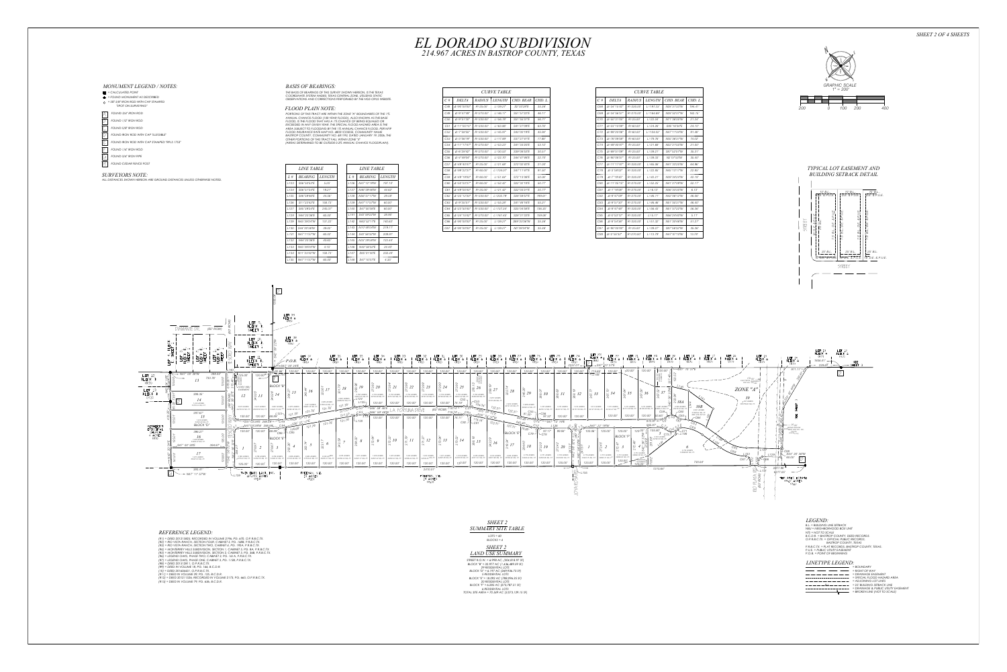

## *MONUMENT LEGEND / NOTES: = CALCULATED POINT*

## *REFERENCE LEGEND:*

- *"SPOT ON SURVEYING"*
- $\boxed{A}$  FOUND 3/4" IRON ROD
- B *FOUND 1/2" IRON ROD*
- *FOUND 5/8" IRON ROD* C D *FOUND IRON ROD WITH CAP "ILLEGIBLE"*
- E *FOUND IRON ROD WITH CAP STAMPED "RPLS 1753"*
- F *FOUND 1/4" IRON ROD*
- $\left|\begin{matrix} \overline{\mathcal{A}} \end{matrix}\right|$  **FOUND 3/4" IRON PIPE**
- H *FOUND CEDAR FENCE POST*

- *(R1) = DEED 201215825, RECORDED IN VOLUME 2196, PG. 670, O.P.R.B.C.TX. (R2) = RIO VISTA RANCH, SECTION FOUR, CABINET 5, PG. 168B, P.R.B.C.TX.*
- *(R3) = RIO VISTA RANCH, SECTION TWO, CABINET 4, PG. 192A, P.R.B.C.TX. (R4) = MONTERREY HILLS SUBDIVISION, SECTION 1, CABINET 5, PG. 8A, P.R.B.C.TX. (R5) = MONTERREY HILLS SUBDIVISION, SECTION 2, CABINET 5, PG. 36B, P.R.B.C.TX.*
- *(R6) = LEGEND OAKS, PHASE TWO, CABINET 3, PG. 161A, P.R.B.C.TX. (R7) = LEGEND OAKS, PHASE ONE, CABINET 3, PG. 112B, P.R.B.C.TX.*
- *(R8) = DEED 201512811, O.P.R.B.C.TX. (R9) = DEED IN VOLUME 18, PG. 166, B.C.D.R.*
- *(10) = DEED 201604431, O.P.R.B.C.TX.*
- *(R11) = DEED IN VOLUME 39, PG. 125, B.C.D.R. (R12) = DEED 201211526, RECORDED IN VOLUME 2173, PG. 665, O.P.R.B.C.TX. (R13) = DEED IN VOLUME 79, PG. 636, B.C.D.R.*



## *LEGEND: B.L. = BUILDING LINE SETBACK*

*NBU = NEIGHBORHOOD BOX UNIT NTS = NOT TO SCALE B.C.D.R. = BASTROP COUNTY, DEED RECORDS. O.P.R.B.C.TX. = OFFICIAL PUBLIC RECORDS, BASTROP COUNTY, TEXAS P.R.B.C.TX. = PLAT RECORDS, BASTROP COUNTY, TEXAS. P.U.E. = PUBLIC UTILITY EASEMENT P.O.B. = POINT OF BEGINNING*

## *BASIS OF BEARINGS: THE BASIS OF BEARINGS OF THIS SURVEY SHOWN HEREON, IS THE TEXAS COORDINATE SYSTEM NAD83, TEXAS CENTRAL ZONE, UTILIZING STATIC*

# *OBSERVATIONS AND CORRECTIONS PERFORMED BY THE NGS-OPUS WEBSITE.*

### *FLOOD PLAIN NOTE:* **PORTIONS OF THIS TRACT ARE WITHIN THE ZONE ",** ANNUAL CHANCE FLOOD (100-YEAR FLOOD), A *FLOOD, IS THE FLOOD THAT HAS A 1% CHANCE* **EXCEEDED IN ANY GIVEN YEAR. THE SPECIAL FLO** AREA SUBJECT TO FLOODING BY THE 1% ANNUAL *FLOOD INSURANCE RATE MAP NO. 48021C0325E, COMMUNITY NAME BASTROP COUNTY, COMMUNITY NO. 481193, DATED JANUARY 19, 2006, THE OTHER PORTIONS OF THIS TRACT FALL WITHIN ZONE "X"*

| PORTIONS OF THIS TRACT ARE WITHIN THE ZONE "A" BOUNDARIES OF THE 1% |  |
|---------------------------------------------------------------------|--|
| ANNUAL CHANCE FLOOD (100-YEAR FLOOD), ALSO KNOWN AS THE BASE        |  |
| FLOOD, IS THE FLOOD THAT HAS A 1% CHANCE OF BEING EQUALED OR        |  |
| EXCEEDED IN ANY GIVEN YEAR. THE SPECIAL FLOOD HAZARD AREA IS THE    |  |
| AREA SUBJECT TO FLOODING BY THE 1% ANNUAL CHANCE FLOOD. PER NFIP    |  |
| FLOOD INSURANCE RATE MAP NO. 48021C0325E, COMMUNITY NAME            |  |
| BASTROP COUNTY, COMMUNITY NO. 481193, DATED JANUARY 19, 2006, THE   |  |
| OTHER PORTIONS OF THIS TRACT FALL WITHIN ZONE "X"                   |  |
| (AREAS DETERMINED TO BE OUTSIDE 0.2% ANNUAL CHANCE FLOODPLAIN).     |  |
|                                                                     |  |



|                                                                                                                                                                                                                                                                                                                                                                                                                                                                                                         | .<br>$   -$<br>60.00'<br>L128   N44°20'36"E<br>131.22'<br>L129   N45°39'24"W<br>L130   S44°20'36"W<br>39.02'<br>L131 N47°11'57"W<br>60.02'<br>40.63'<br>L132   N44°20'36"E<br>L133   N45°39'24"W<br>4.15'<br>L134 N11°23'42"W<br>158.73'<br>$L135$ $N47°11'57"W$<br>60.00'                                                      | L141 S42°59'22"W<br>28.95'<br>L142 N63°52'17"E<br>140.63'<br>$\vert$ C66 $\vert$ $\Delta = 90^{\circ}00'00''$ $\vert$ R=25.00'<br>$L143$ $N10^{\circ}48'04''W$<br>219.11'<br>$LI44$ S42°56'32"W<br>209.91'<br>$LL145$ $N33^{\circ}29'58''W$<br>123.44'<br>L146 N42°56'32"E<br>24.40'<br>$L147$ S85°01'40"E<br>250.44'<br>$L148$ S47°10'37"E<br>4.35'                                                                                                                                                                                                                                                                                                                                                                                                                                                                                                                                                                                                                                | 159.06'<br>C65   $\Delta = 34^{\circ}15'42''$   R=270.00'   L=161.45'<br>S28°31′33″E<br>35.36'<br>$L = 39.27'$<br>S89°20′36″W<br>C67   $\triangle$ =90°00'00"   R=25.00'   L=39.27'<br>N0°39'24"W<br>35.36'                                                                                                                                                                                                                                                                                                                                                                                                                                                                                                                                                                                                                                                                                                                                                     | 5.11'<br>C85  <br>N56°24′40″W<br>4=0°53'12"   R=330.00'<br>$L = 5.11'$<br>51.27'<br>N51°30'46"W<br>C86   $\Delta = 8^{\circ}54'36''$   R=330.00'   L=51.32'<br>C87   ∆=90°00′00″   R=25.00′<br>$L = 39.27'$<br>S87°56′32″W<br>35.36'<br>C88 $\vert$ $\Delta = 2^{\circ}55'32''$ $\vert$ R=270.00' $\vert$ L=13.79'<br>N47°07'10″W<br>13.78'                                                                                                                                                                                                                                                                                                                                                                                                                                                                                                                                                                                                                                                                                                                                               | STREET                                                                                                                                                                                                                                                                                                                                                                                                                                                                  | $\vert$ 25' B.L. $\vert$ $\vert$<br>25'B<br>$ 25'$ B.L.<br>- -- -- -- -<br>$167$ D.E. & P.U.E. $167$ D.E. & P.U.E. $167$ D.E.<br>STREET |
|---------------------------------------------------------------------------------------------------------------------------------------------------------------------------------------------------------------------------------------------------------------------------------------------------------------------------------------------------------------------------------------------------------------------------------------------------------------------------------------------------------|---------------------------------------------------------------------------------------------------------------------------------------------------------------------------------------------------------------------------------------------------------------------------------------------------------------------------------|-------------------------------------------------------------------------------------------------------------------------------------------------------------------------------------------------------------------------------------------------------------------------------------------------------------------------------------------------------------------------------------------------------------------------------------------------------------------------------------------------------------------------------------------------------------------------------------------------------------------------------------------------------------------------------------------------------------------------------------------------------------------------------------------------------------------------------------------------------------------------------------------------------------------------------------------------------------------------------------|-----------------------------------------------------------------------------------------------------------------------------------------------------------------------------------------------------------------------------------------------------------------------------------------------------------------------------------------------------------------------------------------------------------------------------------------------------------------------------------------------------------------------------------------------------------------------------------------------------------------------------------------------------------------------------------------------------------------------------------------------------------------------------------------------------------------------------------------------------------------------------------------------------------------------------------------------------------------|-------------------------------------------------------------------------------------------------------------------------------------------------------------------------------------------------------------------------------------------------------------------------------------------------------------------------------------------------------------------------------------------------------------------------------------------------------------------------------------------------------------------------------------------------------------------------------------------------------------------------------------------------------------------------------------------------------------------------------------------------------------------------------------------------------------------------------------------------------------------------------------------------------------------------------------------------------------------------------------------------------------------------------------------------------------------------------------------|-------------------------------------------------------------------------------------------------------------------------------------------------------------------------------------------------------------------------------------------------------------------------------------------------------------------------------------------------------------------------------------------------------------------------------------------------------------------------|-----------------------------------------------------------------------------------------------------------------------------------------|
| $\boxed{3}$<br>LOT 9,<br>BLOCK B,<br>SHEET <sub>1</sub>                                                                                                                                                                                                                                                                                                                                                                                                                                                 | LDT 39<br>BLOCK A<br>(R6)                                                                                                                                                                                                                                                                                                       |                                                                                                                                                                                                                                                                                                                                                                                                                                                                                                                                                                                                                                                                                                                                                                                                                                                                                                                                                                                     |                                                                                                                                                                                                                                                                                                                                                                                                                                                                                                                                                                                                                                                                                                                                                                                                                                                                                                                                                                 |                                                                                                                                                                                                                                                                                                                                                                                                                                                                                                                                                                                                                                                                                                                                                                                                                                                                                                                                                                                                                                                                                           |                                                                                                                                                                                                                                                                                                                                                                                                                                                                         |                                                                                                                                         |
| _______<br>LOT 10,<br>BLOCK B,<br>SHEET <sub>1</sub><br>--------<br>LOT 11,<br>BLOCK B,<br>SHEET 1                                                                                                                                                                                                                                                                                                                                                                                                      | LDT 38<br>BLOCK A<br>(R6)<br>LOT 37<br>$-P.O.B.$ BLOCK A<br>$\degree$ 00' 24"E                                                                                                                                                                                                                                                  |                                                                                                                                                                                                                                                                                                                                                                                                                                                                                                                                                                                                                                                                                                                                                                                                                                                                                                                                                                                     |                                                                                                                                                                                                                                                                                                                                                                                                                                                                                                                                                                                                                                                                                                                                                                                                                                                                                                                                                                 | LOT 23 LOT 22 LOT 21 LOT 20 LOT 19 LOT 18 LOT 17 LOT 16<br>BLOCK A   BLOCK A   BLOCK A   BLOCK A   BLOCK A   BLOCK A   BLOCK A   BLOCK A   BLOCK A   BLOCK A   BLOCK A  <br>(R7)<br>(R7)<br>(R7)<br>(R7)<br>(R7)                                                                                                                                                                                                                                                                                                                                                                                                                                                                                                                                                                                                                                                                                                                                                                                                                                                                          | LDT 15<br>LDT <sub>14</sub><br>BLOCK A<br>BLOCK A<br>(R7)<br>(R7)<br>(R7)<br>(R7)                                                                                                                                                                                                                                                                                                                                                                                       | LOT 13<br>LOT 12<br>BLOCK A<br>BLOCK A<br>(R7)<br>(R7)<br>$1806.41'$ $\rightarrow$<br>SEE<br>$+$ 239.65' $+$<br>$\rightarrow$ SHEET 3   |
| 12.66'<br>$\frac{1}{2}$ 125.00'<br>$120.00^{+}$<br>BLOCK "B<br>\10'X60' NBU<br>EASEMENT<br>12<br>0.974 ACRES   0.937 ACRES<br>0.997 ACRES<br>42416.52 SQ. FT. 40836.56 SQ. FT. 43424.15 SQ. FT. 42462.48 SQ. FT<br>$L123 -$<br>100.00' 120.00'<br>$\overline{\phantom{a}}$ s47°<br>100.00' 120.00'<br>$168.89'_{C86}$ -1<br>BLOCK "E<br>0.798 ACRES 0.768 ACRES<br>0.769 ACRES<br>34755.91 SQ. FT. 33458.16 SQ. FT. 33490.33 SQ. FT. 35103.49 SQ. FT. 37554.40 SQ. FT.<br>125.00'<br>120.00'<br>120.00' | 120.00'<br>120.00'<br>120.00'<br>120.00'<br>0.803 ACRES<br>34964.52 SQ. FT<br>$0.860 \; \mathit{ACRES}$<br>37463.84 SQ. FT.<br>0.917 ACRES<br>121.78<br>39963.16 SQ. FT.<br>0.975 ACRES<br>121.78<br>121.78<br>121.78<br>$\frac{1}{121.78}$<br>116.66'<br>$-C85$<br>0.806 ACRES<br>0.862 ACRES<br>120.00'<br>120.00'<br>120.00' | 120.00'<br>120.00'<br>120.00'<br>120.00'<br>120.00'<br>120.00'<br>120.00'<br>$\frac{3}{4}$ 23<br>$\approx 24$<br>0.752 ACRES<br>0.752 ACRES<br>0.752 ACRES<br>0.752 ACRES<br>0.756 ACRES<br>0.752 ACRES<br>0.753 ACRES<br>32741.92 SQ. FT. 32744.56 SQ. FT.<br>32951.53 SQ. FT. 32739.28 SQ. FT.<br>32747.20 SQ. FT. 32749.84 SQ. FT.<br>32801.22 SQ. FT<br>–L124<br>L125<br>120.00'<br>120.00'<br>120.00'<br>120.00'<br>120.00'<br>74.18'<br>$-546°59'46E$<br>$(60'$ ROW) $718.74'$<br>FORTUNA DRIVE<br>$511.57$ $0.83$<br>$\frac{1}{118.74}$ - $\frac{C80}{100}$ - $\frac{0.35}{54}$ 54' 37<br>$-146°59'46''W$<br>120.00'<br>120.00'<br>120.00'<br>120.00'<br>120.00' 74.11'<br>$-121.78$<br>$-L138$<br>C82-<br>$\frac{10}{5}$ 12<br>$\sqrt{10}$<br>$\stackrel{3}{\circ}$ 13<br>$\approx 14$<br>1.022 ACRES 1.021 ACRES 1.019 ACRES<br>44538.45 SQ. FT. 44487.46 SQ. FT. 44376.56 SQ. FT.<br>120.00'<br>120.00'<br>120.00'<br>120.00'<br>120.00'<br>120.00'<br>120.00'<br>120.00' | 120.00'<br>120.00'<br>120.00'<br>120.00'<br>120.00'<br>120.00'<br>0.792 ACRES<br>34493.66 SQ. F<br>0.857 ACRES<br>7315.88 SQ. FT<br>-C53<br>0.922 ACRES<br>104.34<br>0.986 ACRES<br>42948.34 SQ. FT.<br>40141.00 SQ. FT.<br>1.016 ACRES 1.015 ACRES<br>122.31'<br>122.31'<br>C55<br>54'32''5<br>91.50'<br>97.32'<br>120.00'<br>440.46'<br>116.16'<br>$CS4$ $-S47°12'19''E$<br>122.31'<br>$-C81$<br>122.31'<br>79.68'<br>97.17'<br>99.94'<br>BLOCK "E"<br>C79-<br>$-C78$<br>$\approx 16$<br>$\approx 17$<br>$\frac{1}{6}$ 18<br>$\frac{19}{52}$ 19<br>$0.779$ ACRES<br>0.844 ACRES 0.779 ACRES<br>0.751 ACRES<br>$\begin{array}{ c c c c c c c c } \hline 0.976 \; ACRES & 0.910 \; ACRES & 0.844 \; ACRES & 0.779 \; ACRES \\ 42511.21 \; SQ. \; FT. & 39637.89 \; SQ. \; FT. & 36764.42 \; SQ. \; FT. & 33929.44 \; SQ. \; FT. \\ \hline \end{array}$<br>32695.86 SQ. FT. 33918.60 SQ. FT. S<br>125.00'<br>120.00'<br>120.00'<br>120.00'<br>120.00'<br>120.00' | $-$ S47° 10' 37"E<br>$\int$ 120.00'<br>120.00'<br>115.65'<br>120.00'<br>120.00'<br>120.00'<br>J₩<br>$-L148$<br>:82<br>$\lesssim$ 35<br>$\frac{1}{2}$ 32<br>$\approx$ 34<br>38B<br>0.987 ACRES <sup>V</sup><br>0.580 ACRES<br>1.014 ACRES<br>1.013 ACRES<br>1.013 ACRES<br>1.013 ACRES<br>1.013 ACRES<br>4250.14 SQ. FT. 44207.47 SQ. FT. 44157.59 SQ. FT. 44127.59 SQ. FT. 44120.47 SQ. FT.<br>44113.38 SQ, FT, 44106.28 SQ, FT, 42984.01 SQ, FT,<br>25279.18 SQ. FT<br>0.631 ACRES<br>27480.92 SQ. FT.<br>MIN. FFE 527.00<br>120.00'<br>120.00'<br>120.00'<br>120.00'<br>-C64<br>$120 - N47^{\circ}$<br>12′ 19″W<br>$(1, 105.80)$<br>$5$ <sub>ORES</sub> C73 <sup>-1</sup><br>120.00'<br>120.00'<br>120.00'<br>100.06'<br><b>BLOCK "F</b><br>$0.523$ ACRES<br>$\delta$ ( $\frac{10}{10}$ 22780.50 SQ. F<br>$\boldsymbol{\sigma}$<br>2.732 ACRES<br>118996.65 SQ. FT.<br>0.751 ACRES<br>0.751 ACRES<br>0.751 ACRES<br>0.779 ACRES<br>32698.36 SQ.<br>33922.75 SQ. FT.<br>32695.31 SQ. FT. 32696.83 SQ. FT<br>DRAINAG.<br>120.00'<br>730.64'<br>EASEMENT<br>120.00'<br>125.00'<br>1215.64' | I <i>Y</i> 971.11' <sup>-</sup><br>$170.00'$ $\longrightarrow$<br>ELECTRICAL EASEMENT<br>PER VOL. 205-884<br>ZONE "A"<br>39<br>8.397 ACRES<br>365756.82 SQ. FT.<br>$-25.00'$<br>$\left  \bigotimes_{\mathbb{R}} \right $ <i>WATER PIPELINE</i><br>$\left  \bigotimes_{\mathbb{R}} \right $ <i>EASEMENT PER VOL. 390</i> ,<br>PG.576<br>(O.R.B.C.TX.)<br>$C_{6,8}$<br>S44° 20' 36"W<br>$C67$ <sup><math>\rightarrow</math></sup><br>$\overline{\phantom{a}}$<br>2077.98' |                                                                                                                                         |
| TWIN DAKS LAND, INC.<br>39 114.399 ACRES<br>(R10)                                                                                                                                                                                                                                                                                                                                                                                                                                                       | FREEMAN, V.E.<br>19 ACRES<br>(R13)                                                                                                                                                                                                                                                                                              | 2410.01'<br>FREEMAN, V.E.<br>19 ACRES<br>(R13)                                                                                                                                                                                                                                                                                                                                                                                                                                                                                                                                                                                                                                                                                                                                                                                                                                                                                                                                      | 买                                                                                                                                                                                                                                                                                                                                                                                                                                                                                                                                                                                                                                                                                                                                                                                                                                                                                                                                                               |                                                                                                                                                                                                                                                                                                                                                                                                                                                                                                                                                                                                                                                                                                                                                                                                                                                                                                                                                                                                                                                                                           | $\mathbb{R}$ L <sub>13</sub><br>6277.05'<br>TOM ATES ESTATE<br>≪ ଝ<br>49.17 ACRES<br>(R11)                                                                                                                                                                                                                                                                                                                                                                              |                                                                                                                                         |

| <i>LINE TABLE</i> |
|-------------------|
| <i>LENGTH</i>     |
| 5.25'             |
| 19.21'            |
| 44.56'            |
| 158.73'           |
| 245.37'           |
| 60.00'            |
| 131.22'           |
| 39.02'            |
| 60.02'            |
| 40.63'            |
| 4.15'             |
| 158.73'           |
| 60.00'            |
|                   |

| <i>CURVE TABLE</i> |                              |               |               |             |         |
|--------------------|------------------------------|---------------|---------------|-------------|---------|
| $C \#$             | <b>DELTA</b>                 | <b>RADIUS</b> | <i>LENGTH</i> | CHD. BEAR   | CHD. L. |
| C48                | $\Delta = 90^{\circ}00'00''$ | $R = 25.00'$  | $L = 39.27'$  | S2°03'28"E  | 35.36'  |
| C49                | $\Delta = 9^{\circ}47'49''$  | $R = 270.00'$ | $1 = 46.17'$  | S51°57'22"F | 46.11'  |
| C <sub>50</sub>    | $\Delta = 9^{\circ}51'30''$  | $R = 330.00'$ | $L = 56.78'$  | S51°55'31"E | 56.71'  |
| C51                | $\Delta = 11^{\circ}05'15''$ | R=330.00'     | $L = 63.86'$  | S41°27'09"E | 63.76'  |
| C <sub>52</sub>    | $\Delta = 7^{\circ}58'55''$  | $R = 330.00'$ | $L = 45.97'$  | S43°00'19"E | 45.94'  |
| C <sub>53</sub>    | $\Delta = 3^{\circ}06'19''$  | $R = 330.00'$ | $L = 17.89'$  | S37°27'41"F | 17.88'  |
| C <sub>54</sub>    | $\Delta = 11^{\circ}17'47''$ | R=270.00'     | $L = 53.23'$  | S41°33'25"E | 53.15'  |
| C <sub>55</sub>    | $\Delta = 6^{\circ}28'42''$  | R=270.00'     | $L = 30.53'$  | S39°08'53"E | 30.51'  |
| C <sub>56</sub>    | $\Delta = 4^{\circ}49'04''$  | R=270.00'     | $L = 22.70'$  | S44°47'46"E | 22.70'  |
| C57                | $\Delta = 49^{\circ}40'47''$ | $R = 25.00'$  | $1 = 21.68'$  | S72°02'42"F | 21.00'  |
| C <sub>58</sub>    | $\Delta = 99^{\circ}22'37''$ | $R = 60.00'$  | $L = 104.07'$ | S47°11'47"E | 91.50'  |
| C <sub>59</sub>    | $\Delta = 49^{\circ}19'00''$ | $R = 60.00'$  | $L = 51.64'$  | S72°13'36"E | 50.06'  |
| C60                | $\Delta = 50^{\circ}03'37''$ | $R = 60.00'$  | $L = 52.42'$  | S22°32'18"E | 50.77'  |
| C61                | $\Delta = 49^{\circ}05'43''$ | $R = 25.00'$  | $1 = 21.42'$  | S22°03'21"F | 20.77'  |
| C <sub>62</sub>    | $\Delta = 35^{\circ}12'30''$ | $R = 330.00'$ | $L = 202.79'$ | S28°59'57"E | 199.61' |
| C63                | $\Delta = 9^{\circ}35'51''$  | $R = 330.00'$ | $L = 55.28'$  | S41°48'16"E | 55.21'  |
| C64                | $\Delta = 23^{\circ}50'45''$ | R=330.00'     | $L = 137.34'$ | S25°04'58"E | 136.35' |
| C65                | $\Delta = 34^{\circ}15'42''$ | R=270.00'     | $1 = 161.45'$ | S28°31'33"E | 159.06' |
| C <sub>66</sub>    | $\Delta = 90^{\circ}00'00''$ | $R = 25.00'$  | $L = 39.27'$  | S89°20'36"W | 35.36'  |
| C67                | $\Delta = 90^{\circ}00'00''$ | $R = 25.00'$  | $L = 39.27'$  | N0°39'24"W  | 35.36'  |

|         | <i>LINE TABLE</i> |               |  |  |  |
|---------|-------------------|---------------|--|--|--|
| $L \#$  | <i>BEARING</i>    | <i>LENGTH</i> |  |  |  |
| 1 136   | N47°12'19"W       | 197.10'       |  |  |  |
| 1 137   | N46°59′46″W       | 44.62'        |  |  |  |
| 1 138   | N56°51'17"W       | 29.58'        |  |  |  |
| 1 139   | N47°11'57"W       | 60.00'        |  |  |  |
| l 140   | S47°00'38"F       | 60.00'        |  |  |  |
| 1141    | S42°59'22"W       | 28.95'        |  |  |  |
| 1142    | N63°52'17"F       | 140.63'       |  |  |  |
| 1143    | N10°48'04"W       | 219.11'       |  |  |  |
| l 144   | S42°56'32″W       | 209.91'       |  |  |  |
| 1 1 4 5 | N33°29'58"W       | 123.44'       |  |  |  |
| l 146   | N42°56'32"F       | 24.40'        |  |  |  |
| l 147   | S85°01'40"F       | 250.44'       |  |  |  |
| l 148   | S47°10'37"F       | 4.35'         |  |  |  |

| <b>CURVE TABLE</b> |                               |               |               |             |         |
|--------------------|-------------------------------|---------------|---------------|-------------|---------|
| $C \#$             | <b>DELTA</b>                  | <b>RADIUS</b> | <b>LENGTH</b> | CHD BEAR    | CHD. L. |
| C68                | $\Delta = 34^{\circ}15'42''$  | R=330.00'     | $L = 197.33'$ | N28°31'33″W | 194.41' |
| C <sub>69</sub>    | $\Delta = 34^{\circ}56'51''$  | $R = 270.00'$ | $1 = 164.69'$ | N28°52'07"W | 162.15' |
| C70                | $\Delta = 50^{\circ}31'05''$  | $R = 25.00'$  | $L = 22.04'$  | N71°36'05"W | 21.34'  |
| C71                | $\Delta = 23^{\circ}10'08''$  | $R = 60.00'$  | $1 = 24.26'$  | S85°16'34"F | 24.10'  |
| C72                | $A = 99°20'06"$               | $R = 60.00'$  | $1 = 104.02'$ | N47°11'34"W | 91.48'  |
| C73                | $\Delta = 76^{\circ}09'58''$  | R=60.00'      | $1 = 79.76'$  | N35°36′31″W | 74.02'  |
| C74                | $\Delta = 49^{\circ}40'47''$  | R=25.00'      | $1 = 21.68'$  | N22°21′55″W | 21.00'  |
| C75                | $\Delta = 89^{\circ}51'09''$  | $R = 25.00'$  | $L = 39.21'$  | S87°52'07"W | 35.31'  |
| C76                | $\Delta = 90^{\circ}08'51''$  | $R = 25.00'$  | $L = 39.33'$  | N2°07'53"W  | 35.40'  |
| C77                | $\Delta = 11^{\circ}17'47''$  | $R = 330.00'$ | $L = 65.06'$  | N41°33'25"W | 64.96'  |
| C78                | $\Delta = 3^{\circ}58'02''$   | R=330.00'     | $L = 22.85'$  | N45°13'17″W | 22.85'  |
| C79                | $\Delta = 7^{\circ}19'45''$   | R=330.00'     | $L = 42.21'$  | N39°34′24″W | 42.18'  |
| C80                | $\Delta = 11^{\circ}05'15''$  | $R = 270.00'$ | $1 = 52.25'$  | N41°27'09"W | 52.17'  |
| C81                | $\Delta = 1^{\circ} 18' 06''$ | $R = 270.00'$ | $1 = 6.13'$   | N36°33′35″W | 6.13'   |
| C82                | $\Delta = 9^{\circ}47'09''$   | $R = 270.00'$ | $1 = 46.11'$  | N42°06'12"W | 46.06'  |
| C83                | $\Delta = 9^{\circ}51'30''$   | $R = 270.00'$ | $1 = 46.46'$  | N51°55'31"W | 46.40'  |
| C84                | $\Delta = 9^{\circ}47'48''$   | R=330.00'     | $L = 56.43'$  | N51°57'22"W | 56.36'  |
| C85                | $\Delta = 0^{\circ}53'12''$   | R=330.00'     | $1 = 5.11'$   | N56°24′40″W | 5.11'   |
| C86                | $\Delta = 8^{\circ}54'36''$   | R=330.00'     | $L = 51.32'$  | N51°30'46"W | 51.27'  |
| C87                | ∆=90°00'00″                   | R=25.00'      | $L = 39.27'$  | S87°56′32″W | 35.36'  |
| C88                | $\Delta = 2^{\circ}55'32''$   | R=270.00'     | $L = 13.79'$  | N47°07'10″W | 13.78'  |
|                    |                               |               |               |             |         |

*SHEET 2 SUMMARY SITE TABLE STREET R.O.W. = 6.998 AC, (304,818.97 SF) BLOCK "B" = 32.977 AC (1,436,489.59 SF) 29 RESIDENTIAL LOTS BLOCK "D" = 6.197 AC (269,936.73 SF) 5 RESIDENTIAL LOTS BLOCK "E" = 18.092 AC (788,096.35 SF) 20 RESIDENTIAL LOTS BLOCK "F" = 6.285 AC (273,787.51 SF) 6 RESIDENTIAL LOTS TOTAL SITE AREA = 70.549 AC (3,073,129.15 SF) LOTS = 60 BLOCKS = 4 SHEET 2 LAND USE SUMMARY*

## *LINETYPE LEGEND: = BOUNDARY*

*= RIGHT OF WAY = DRAINAGE EASEMENT = SPECIAL FLOOD HAZARD AREA = ADJOINING LOT LINES = 25' BUILDING SETBACK LINE = DRAINAGE & PUBLIC UTILITY EASEMENT = BROKEN LINE (NOT TO SCALE)*

## *TYPICAL LOT EASEMENT AND BUILDING SETBACK DETAIL*

# *SURVEYORS NOTE:*

*ALL DISTANCES SHOWN HEREON ARE GROUND DISTANCES UNLESS OTHERWISE NOTED.*



| $-----B_t------$         |
|--------------------------|
|                          |
| $\overline{\phantom{a}}$ |
|                          |



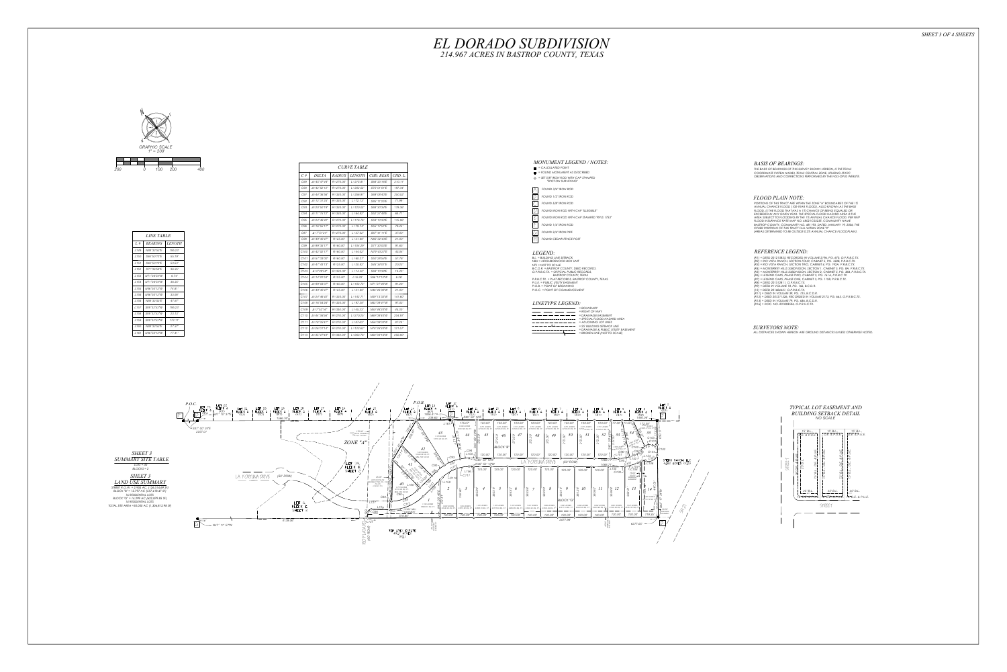

| <i>LINE TABLE</i> |                |               |  |
|-------------------|----------------|---------------|--|
| $L \#$            | <b>BEARING</b> | <i>LENGTH</i> |  |
| 1149              | N88°32'53"F    | 195.23'       |  |
| 1150              | S46°50'12"F    | 55.19'        |  |
| 1151              | S46°50'12"F    | 53.53'        |  |
| L <sub>152</sub>  | S71°36'54"F    | 36.35'        |  |
| 1153              | N71°36′54″W    | 6.74'         |  |
| 1154              | N71°36'54"W    | 36.35'        |  |
| 1155              | N46°50'12"W    | 74 81'        |  |
| 1156              | N46°50'12"W    | 33.90'        |  |
| 1156              | N88°32'53"F    | 47.87'        |  |
| 1157              | S88°32′53″W    | 195.23'       |  |
| / 158             | S88°32'53″W    | 23.13'        |  |
| 1159              | S88°32'53"W    | 172.11'       |  |
| 1160              | N88°32'53"F    | 27.37'        |  |
| 1161              | N46°50'12"W    | 17.41'        |  |

| <b>CURVE TABLE</b> |                              |               |               |             |         |
|--------------------|------------------------------|---------------|---------------|-------------|---------|
| $C \#$             | <i>DELTA</i>                 | <b>RADIUS</b> | <i>LENGTH</i> | CHD. BEAR   | CHD. L. |
| C89                | $A = 45^{\circ}47'44''$      | $R = 270.00'$ | $1 = 215.81'$ | S68°33'16"F | 210.11' |
| C90                | $\Delta = 42^{\circ}52'12''$ | $R = 270.00'$ | $1 = 202.02'$ | S70°01'01"F | 197.34' |
| C91                | $\Delta = 44^{\circ}36'56''$ | R=330.00'     | $L = 256.97'$ | S69°08'40"E | 250.52' |
| C.92               | $A = 12°31'25"$              | $R = 330.00'$ | $1 = 72$ 1.3' | S85°11'25"F | 71.99'  |
| C93                | $\Delta = 20^{\circ}50'19''$ | $R = 330.00'$ | $L = 120.02'$ | S68°30'34"F | 119.36' |
| C94                | $\Delta = 11^{\circ}15'12''$ | R=330.00'     | $L = 64.82'$  | S52°27'48"E | 64.71'  |
| C95                | $\Delta = 24^{\circ}46'42''$ | R=270.00'     | $L = 116.76'$ | S59°13'33"E | 115.86' |
| C96                | $\Delta = 16^{\circ}55'17''$ | R=270.00'     | $I = 79.74'$  | S55°17'51"F | 79.45'  |
| C97                | $\Delta = 7^{\circ}51'24''$  | R=270.00'     | $L = 37.02'$  | S67°41'11"E | 37.00'  |
| C98                | $\Delta = 49^{\circ}40'47''$ | $R = 25.00'$  | $L = 21.68'$  | N83°32′43″E | 21.00'  |
| C <sub>99</sub>    | $\Delta = 99^{\circ}35'17''$ | $R = 60.00'$  | $1 = 104.29'$ | S71°30'03"E | 91.65'  |
| C <sub>100</sub>   | $\Delta = 42^{\circ}02'17''$ | $R = 60.00'$  | $1 = 44.02'$  | N79°43'27"F | 43.04'  |
| C <sub>101</sub>   | $\Delta = 57^{\circ}33'00''$ | $R = 60.00'$  | $L = 60.27'$  | S50°28'54"E | 57.76'  |
| C102               | $\Delta = 47^{\circ}43'13''$ | $R = 25.00'$  | $1 = 20.82'$  | S45°34'01"E | 20.23'  |
| C <sub>103</sub>   | $\Delta = 2^{\circ}29'58''$  | R=330.00'     | $L = 14.40'$  | S68°10'38"E | 14.40'  |
| C <sub>104</sub>   | $\Delta = 14^{\circ}22'53''$ | $R = 25.00'$  | $1 = 6.28'$   | S66°12'13″W | 6.26'   |
| C <sub>105</sub>   | $\Delta = 99^{\circ}03'07''$ | $R = 60.00'$  | $1 = 103.73'$ | N71°27'40"W | 91.28'  |
| C106               | $\Delta = 49^{\circ}40'47''$ | R=25.00'      | $L = 21.68'$  | N46°46'30"W | 21.00'  |
| C <sub>107</sub>   | $\Delta = 24^{\circ}46'42''$ | R=330.00'     | $L = 142.71'$ | N59°13'33"W | 141.60' |
| C <sub>108</sub>   | $\Delta = 16^{\circ}54'26''$ | $R = 330.00'$ | $1 = 97.38'$  | N63°09'41"W | 97.03'  |
| C <sub>109</sub>   | $\Delta = 7^{\circ}52'16''$  | R=330.00'     | $L = 45.33'$  | N50°46'20"W | 45.30'  |
| C <sub>110</sub>   | ∆=44°36′56″                  | R=270.00'     | $L = 210.25'$ | N69°08'40″W | 204.97' |
| C111               | $\Delta = 18^{\circ}35'41''$ | $R = 270.00'$ | $1 = 87.63'$  | N56°08′03″W | 87.24'  |
| C112               | $\Delta = 26^{\circ}01'14''$ | R=270.00'     | $1 = 122.62'$ | N78°26'30"W | 121.57' |
| C113               | $\Delta = 45^{\circ}47'44''$ | R=330.00'     | $L = 263.76'$ | N68°33'16"W | 256.80' |



- 
- 
- 
- 
- 
- 
- 



- 
- 
- 
- 
- 
- 
- 
-